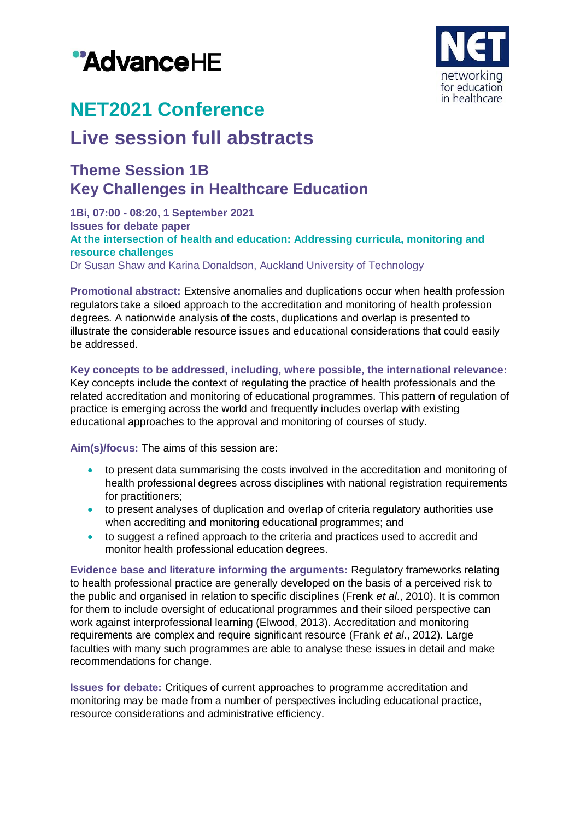



# **NET2021 Conference**

## **Live session full abstracts**

### **Theme Session 1B Key Challenges in Healthcare Education**

**1Bi, 07:00 - 08:20, 1 September 2021 Issues for debate paper At the intersection of health and education: Addressing curricula, monitoring and resource challenges** Dr Susan Shaw and Karina Donaldson, Auckland University of Technology

**Promotional abstract:** Extensive anomalies and duplications occur when health profession regulators take a siloed approach to the accreditation and monitoring of health profession degrees. A nationwide analysis of the costs, duplications and overlap is presented to illustrate the considerable resource issues and educational considerations that could easily be addressed.

#### **Key concepts to be addressed, including, where possible, the international relevance:**

Key concepts include the context of regulating the practice of health professionals and the related accreditation and monitoring of educational programmes. This pattern of regulation of practice is emerging across the world and frequently includes overlap with existing educational approaches to the approval and monitoring of courses of study.

**Aim(s)/focus:** The aims of this session are:

- to present data summarising the costs involved in the accreditation and monitoring of health professional degrees across disciplines with national registration requirements for practitioners;
- to present analyses of duplication and overlap of criteria regulatory authorities use when accrediting and monitoring educational programmes; and
- to suggest a refined approach to the criteria and practices used to accredit and monitor health professional education degrees.

**Evidence base and literature informing the arguments:** Regulatory frameworks relating to health professional practice are generally developed on the basis of a perceived risk to the public and organised in relation to specific disciplines (Frenk *et al*., 2010). It is common for them to include oversight of educational programmes and their siloed perspective can work against interprofessional learning (Elwood, 2013). Accreditation and monitoring requirements are complex and require significant resource (Frank *et al*., 2012). Large faculties with many such programmes are able to analyse these issues in detail and make recommendations for change.

**Issues for debate:** Critiques of current approaches to programme accreditation and monitoring may be made from a number of perspectives including educational practice, resource considerations and administrative efficiency.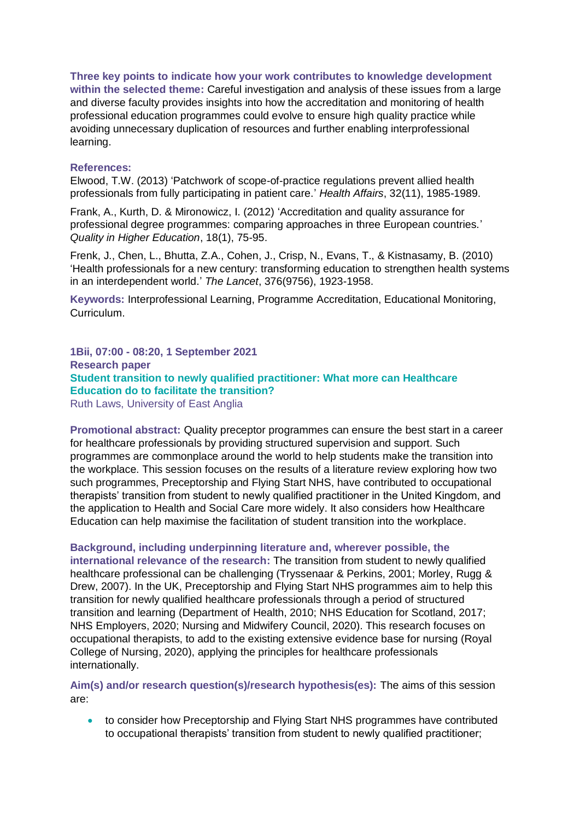**Three key points to indicate how your work contributes to knowledge development within the selected theme:** Careful investigation and analysis of these issues from a large and diverse faculty provides insights into how the accreditation and monitoring of health professional education programmes could evolve to ensure high quality practice while avoiding unnecessary duplication of resources and further enabling interprofessional learning.

#### **References:**

Elwood, T.W. (2013) 'Patchwork of scope-of-practice regulations prevent allied health professionals from fully participating in patient care.' *Health Affairs*, 32(11), 1985-1989.

Frank, A., Kurth, D. & Mironowicz, I. (2012) 'Accreditation and quality assurance for professional degree programmes: comparing approaches in three European countries.' *Quality in Higher Education*, 18(1), 75-95.

Frenk, J., Chen, L., Bhutta, Z.A., Cohen, J., Crisp, N., Evans, T., & Kistnasamy, B. (2010) 'Health professionals for a new century: transforming education to strengthen health systems in an interdependent world.' *The Lancet*, 376(9756), 1923-1958.

**Keywords:** Interprofessional Learning, Programme Accreditation, Educational Monitoring, Curriculum.

**1Bii, 07:00 - 08:20, 1 September 2021 Research paper Student transition to newly qualified practitioner: What more can Healthcare Education do to facilitate the transition?** Ruth Laws, University of East Anglia

**Promotional abstract:** Quality preceptor programmes can ensure the best start in a career for healthcare professionals by providing structured supervision and support. Such programmes are commonplace around the world to help students make the transition into the workplace. This session focuses on the results of a literature review exploring how two such programmes, Preceptorship and Flying Start NHS, have contributed to occupational therapists' transition from student to newly qualified practitioner in the United Kingdom, and the application to Health and Social Care more widely. It also considers how Healthcare Education can help maximise the facilitation of student transition into the workplace.

#### **Background, including underpinning literature and, wherever possible, the**

**international relevance of the research:** The transition from student to newly qualified healthcare professional can be challenging (Tryssenaar & Perkins, 2001; Morley, Rugg & Drew, 2007). In the UK, Preceptorship and Flying Start NHS programmes aim to help this transition for newly qualified healthcare professionals through a period of structured transition and learning (Department of Health, 2010; NHS Education for Scotland, 2017; NHS Employers, 2020; Nursing and Midwifery Council, 2020). This research focuses on occupational therapists, to add to the existing extensive evidence base for nursing (Royal College of Nursing, 2020), applying the principles for healthcare professionals internationally.

**Aim(s) and/or research question(s)/research hypothesis(es):** The aims of this session are:

 to consider how Preceptorship and Flying Start NHS programmes have contributed to occupational therapists' transition from student to newly qualified practitioner;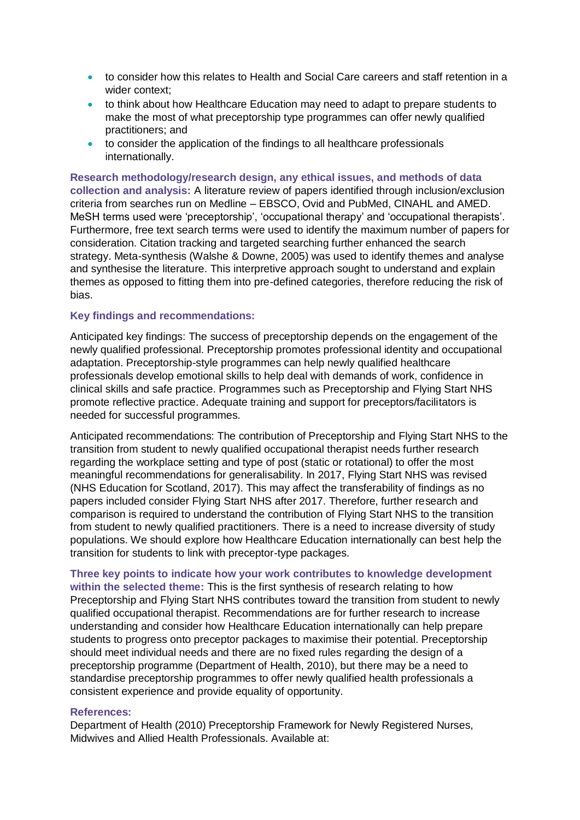- to consider how this relates to Health and Social Care careers and staff retention in a wider context;
- to think about how Healthcare Education may need to adapt to prepare students to make the most of what preceptorship type programmes can offer newly qualified practitioners; and
- to consider the application of the findings to all healthcare professionals internationally.

**Research methodology/research design, any ethical issues, and methods of data collection and analysis:** A literature review of papers identified through inclusion/exclusion criteria from searches run on Medline – EBSCO, Ovid and PubMed, CINAHL and AMED. MeSH terms used were 'preceptorship', 'occupational therapy' and 'occupational therapists'. Furthermore, free text search terms were used to identify the maximum number of papers for consideration. Citation tracking and targeted searching further enhanced the search strategy. Meta-synthesis (Walshe & Downe, 2005) was used to identify themes and analyse and synthesise the literature. This interpretive approach sought to understand and explain themes as opposed to fitting them into pre-defined categories, therefore reducing the risk of bias.

#### **Key findings and recommendations:**

Anticipated key findings: The success of preceptorship depends on the engagement of the newly qualified professional. Preceptorship promotes professional identity and occupational adaptation. Preceptorship-style programmes can help newly qualified healthcare professionals develop emotional skills to help deal with demands of work, confidence in clinical skills and safe practice. Programmes such as Preceptorship and Flying Start NHS promote reflective practice. Adequate training and support for preceptors/facilitators is needed for successful programmes.

Anticipated recommendations: The contribution of Preceptorship and Flying Start NHS to the transition from student to newly qualified occupational therapist needs further research regarding the workplace setting and type of post (static or rotational) to offer the most meaningful recommendations for generalisability. In 2017, Flying Start NHS was revised (NHS Education for Scotland, 2017). This may affect the transferability of findings as no papers included consider Flying Start NHS after 2017. Therefore, further research and comparison is required to understand the contribution of Flying Start NHS to the transition from student to newly qualified practitioners. There is a need to increase diversity of study populations. We should explore how Healthcare Education internationally can best help the transition for students to link with preceptor-type packages.

**Three key points to indicate how your work contributes to knowledge development within the selected theme:** This is the first synthesis of research relating to how Preceptorship and Flying Start NHS contributes toward the transition from student to newly qualified occupational therapist. Recommendations are for further research to increase understanding and consider how Healthcare Education internationally can help prepare students to progress onto preceptor packages to maximise their potential. Preceptorship should meet individual needs and there are no fixed rules regarding the design of a preceptorship programme (Department of Health, 2010), but there may be a need to standardise preceptorship programmes to offer newly qualified health professionals a consistent experience and provide equality of opportunity.

#### **References:**

Department of Health (2010) Preceptorship Framework for Newly Registered Nurses, Midwives and Allied Health Professionals. Available at: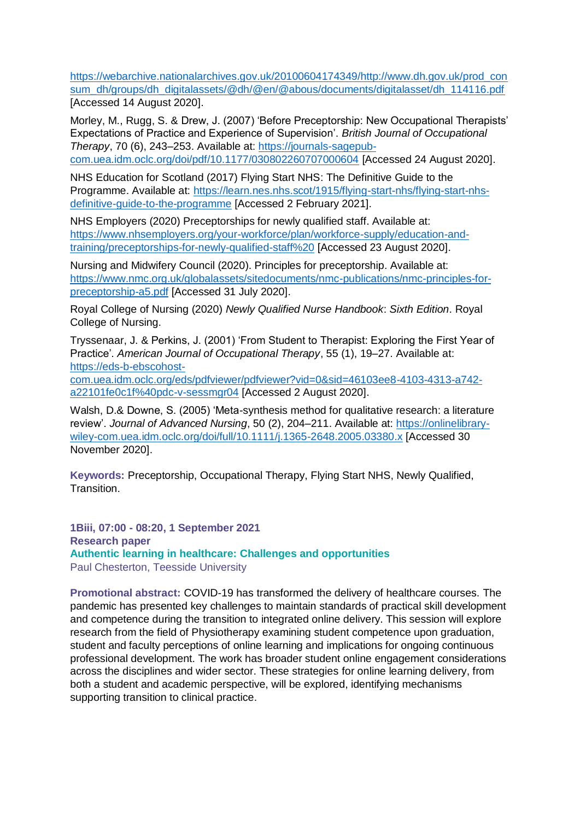[https://webarchive.nationalarchives.gov.uk/20100604174349/http://www.dh.gov.uk/prod\\_con](https://webarchive.nationalarchives.gov.uk/20100604174349/http:/www.dh.gov.uk/prod_consum_dh/groups/dh_digitalassets/@dh/@en/@abous/documents/digitalasset/dh_114116.pdf) [sum\\_dh/groups/dh\\_digitalassets/@dh/@en/@abous/documents/digitalasset/dh\\_114116.pdf](https://webarchive.nationalarchives.gov.uk/20100604174349/http:/www.dh.gov.uk/prod_consum_dh/groups/dh_digitalassets/@dh/@en/@abous/documents/digitalasset/dh_114116.pdf) [Accessed 14 August 2020].

Morley, M., Rugg, S. & Drew, J. (2007) 'Before Preceptorship: New Occupational Therapists' Expectations of Practice and Experience of Supervision'. *British Journal of Occupational Therapy*, 70 (6), 243–253. Available at: [https://journals-sagepub-](https://journals-sagepub-com.uea.idm.oclc.org/doi/pdf/10.1177/030802260707000604)

[com.uea.idm.oclc.org/doi/pdf/10.1177/030802260707000604](https://journals-sagepub-com.uea.idm.oclc.org/doi/pdf/10.1177/030802260707000604) [Accessed 24 August 2020].

NHS Education for Scotland (2017) Flying Start NHS: The Definitive Guide to the Programme. Available at: [https://learn.nes.nhs.scot/1915/flying-start-nhs/flying-start-nhs](https://learn.nes.nhs.scot/1915/flying-start-nhs/flying-start-nhs-definitive-guide-to-the-programme)[definitive-guide-to-the-programme](https://learn.nes.nhs.scot/1915/flying-start-nhs/flying-start-nhs-definitive-guide-to-the-programme) [Accessed 2 February 2021].

NHS Employers (2020) Preceptorships for newly qualified staff. Available at: [https://www.nhsemployers.org/your-workforce/plan/workforce-supply/education-and](https://www.nhsemployers.org/your-workforce/plan/workforce-supply/education-and-training/preceptorships-for-newly-qualified-staff)[training/preceptorships-for-newly-qualified-staff%20](https://www.nhsemployers.org/your-workforce/plan/workforce-supply/education-and-training/preceptorships-for-newly-qualified-staff) [Accessed 23 August 2020].

Nursing and Midwifery Council (2020). Principles for preceptorship. Available at: [https://www.nmc.org.uk/globalassets/sitedocuments/nmc-publications/nmc-principles-for](https://www.nmc.org.uk/globalassets/sitedocuments/nmc-publications/nmc-principles-for-preceptorship-a5.pdf)[preceptorship-a5.pdf](https://www.nmc.org.uk/globalassets/sitedocuments/nmc-publications/nmc-principles-for-preceptorship-a5.pdf) [Accessed 31 July 2020].

Royal College of Nursing (2020) *Newly Qualified Nurse Handbook*: *Sixth Edition*. Royal College of Nursing.

Tryssenaar, J. & Perkins, J. (2001) 'From Student to Therapist: Exploring the First Year of Practice'. *American Journal of Occupational Therapy*, 55 (1), 19–27. Available at: [https://eds-b-ebscohost-](https://eds-b-ebscohost-com.uea.idm.oclc.org/eds/pdfviewer/pdfviewer?vid=0&sid=46103ee8-4103-4313-a742-a22101fe0c1f%40pdc-v-sessmgr04)

[com.uea.idm.oclc.org/eds/pdfviewer/pdfviewer?vid=0&sid=46103ee8-4103-4313-a742](https://eds-b-ebscohost-com.uea.idm.oclc.org/eds/pdfviewer/pdfviewer?vid=0&sid=46103ee8-4103-4313-a742-a22101fe0c1f%40pdc-v-sessmgr04) [a22101fe0c1f%40pdc-v-sessmgr04](https://eds-b-ebscohost-com.uea.idm.oclc.org/eds/pdfviewer/pdfviewer?vid=0&sid=46103ee8-4103-4313-a742-a22101fe0c1f%40pdc-v-sessmgr04) [Accessed 2 August 2020].

Walsh, D.& Downe, S. (2005) 'Meta-synthesis method for qualitative research: a literature review'. *Journal of Advanced Nursing*, 50 (2), 204–211. Available at: [https://onlinelibrary](https://onlinelibrary-wiley-com.uea.idm.oclc.org/doi/full/10.1111/j.1365-2648.2005.03380.x)[wiley-com.uea.idm.oclc.org/doi/full/10.1111/j.1365-2648.2005.03380.x](https://onlinelibrary-wiley-com.uea.idm.oclc.org/doi/full/10.1111/j.1365-2648.2005.03380.x) [Accessed 30 November 2020].

**Keywords:** Preceptorship, Occupational Therapy, Flying Start NHS, Newly Qualified, **Transition** 

**1Biii, 07:00 - 08:20, 1 September 2021 Research paper Authentic learning in healthcare: Challenges and opportunities** Paul Chesterton, Teesside University

**Promotional abstract:** COVID-19 has transformed the delivery of healthcare courses. The pandemic has presented key challenges to maintain standards of practical skill development and competence during the transition to integrated online delivery. This session will explore research from the field of Physiotherapy examining student competence upon graduation, student and faculty perceptions of online learning and implications for ongoing continuous professional development. The work has broader student online engagement considerations across the disciplines and wider sector. These strategies for online learning delivery, from both a student and academic perspective, will be explored, identifying mechanisms supporting transition to clinical practice.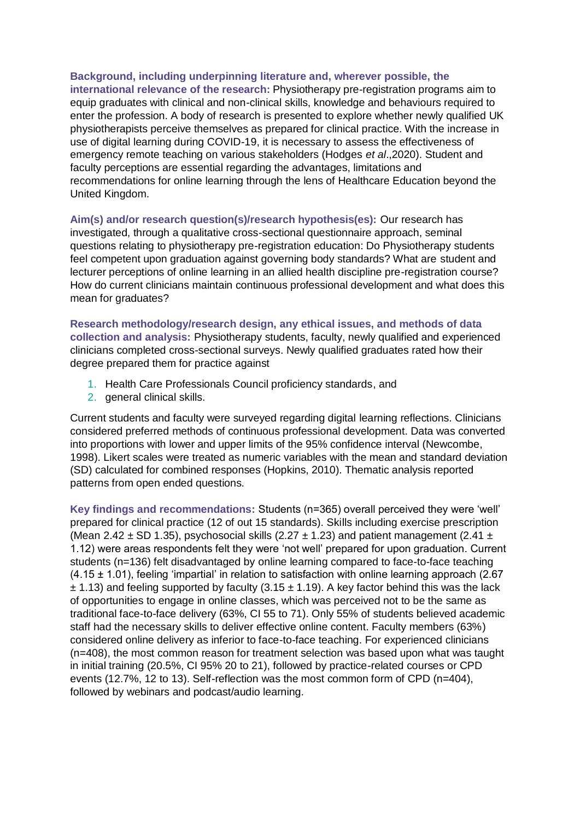**Background, including underpinning literature and, wherever possible, the international relevance of the research:** Physiotherapy pre-registration programs aim to equip graduates with clinical and non-clinical skills, knowledge and behaviours required to enter the profession. A body of research is presented to explore whether newly qualified UK physiotherapists perceive themselves as prepared for clinical practice. With the increase in use of digital learning during COVID-19, it is necessary to assess the effectiveness of emergency remote teaching on various stakeholders (Hodges *et al*.,2020). Student and faculty perceptions are essential regarding the advantages, limitations and recommendations for online learning through the lens of Healthcare Education beyond the United Kingdom.

**Aim(s) and/or research question(s)/research hypothesis(es):** Our research has investigated, through a qualitative cross-sectional questionnaire approach, seminal questions relating to physiotherapy pre-registration education: Do Physiotherapy students feel competent upon graduation against governing body standards? What are student and lecturer perceptions of online learning in an allied health discipline pre-registration course? How do current clinicians maintain continuous professional development and what does this mean for graduates?

**Research methodology/research design, any ethical issues, and methods of data collection and analysis:** Physiotherapy students, faculty, newly qualified and experienced clinicians completed cross-sectional surveys. Newly qualified graduates rated how their degree prepared them for practice against

- 1. Health Care Professionals Council proficiency standards, and
- 2. general clinical skills.

Current students and faculty were surveyed regarding digital learning reflections. Clinicians considered preferred methods of continuous professional development. Data was converted into proportions with lower and upper limits of the 95% confidence interval (Newcombe, 1998). Likert scales were treated as numeric variables with the mean and standard deviation (SD) calculated for combined responses (Hopkins, 2010). Thematic analysis reported patterns from open ended questions.

**Key findings and recommendations:** Students (n=365) overall perceived they were 'well' prepared for clinical practice (12 of out 15 standards). Skills including exercise prescription (Mean 2.42  $\pm$  SD 1.35), psychosocial skills (2.27  $\pm$  1.23) and patient management (2.41  $\pm$ 1.12) were areas respondents felt they were 'not well' prepared for upon graduation. Current students (n=136) felt disadvantaged by online learning compared to face-to-face teaching  $(4.15 \pm 1.01)$ , feeling 'impartial' in relation to satisfaction with online learning approach (2.67)  $\pm$  1.13) and feeling supported by faculty (3.15  $\pm$  1.19). A key factor behind this was the lack of opportunities to engage in online classes, which was perceived not to be the same as traditional face-to-face delivery (63%, CI 55 to 71). Only 55% of students believed academic staff had the necessary skills to deliver effective online content. Faculty members (63%) considered online delivery as inferior to face-to-face teaching. For experienced clinicians (n=408), the most common reason for treatment selection was based upon what was taught in initial training (20.5%, CI 95% 20 to 21), followed by practice-related courses or CPD events (12.7%, 12 to 13). Self-reflection was the most common form of CPD (n=404), followed by webinars and podcast/audio learning.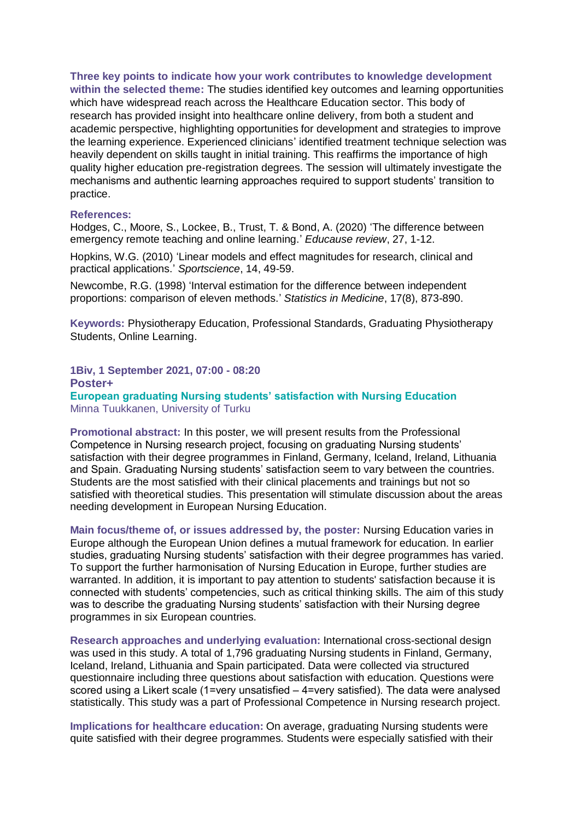**Three key points to indicate how your work contributes to knowledge development within the selected theme:** The studies identified key outcomes and learning opportunities which have widespread reach across the Healthcare Education sector. This body of research has provided insight into healthcare online delivery, from both a student and academic perspective, highlighting opportunities for development and strategies to improve the learning experience. Experienced clinicians' identified treatment technique selection was heavily dependent on skills taught in initial training. This reaffirms the importance of high quality higher education pre-registration degrees. The session will ultimately investigate the mechanisms and authentic learning approaches required to support students' transition to practice.

#### **References:**

Hodges, C., Moore, S., Lockee, B., Trust, T. & Bond, A. (2020) 'The difference between emergency remote teaching and online learning.' *Educause review*, 27, 1-12.

Hopkins, W.G. (2010) 'Linear models and effect magnitudes for research, clinical and practical applications.' *Sportscience*, 14, 49-59.

Newcombe, R.G. (1998) 'Interval estimation for the difference between independent proportions: comparison of eleven methods.' *Statistics in Medicine*, 17(8), 873-890.

**Keywords:** Physiotherapy Education, Professional Standards, Graduating Physiotherapy Students, Online Learning.

**1Biv, 1 September 2021, 07:00 - 08:20 Poster+ European graduating Nursing students' satisfaction with Nursing Education** Minna Tuukkanen, University of Turku

**Promotional abstract:** In this poster, we will present results from the Professional Competence in Nursing research project, focusing on graduating Nursing students' satisfaction with their degree programmes in Finland, Germany, Iceland, Ireland, Lithuania and Spain. Graduating Nursing students' satisfaction seem to vary between the countries. Students are the most satisfied with their clinical placements and trainings but not so satisfied with theoretical studies. This presentation will stimulate discussion about the areas needing development in European Nursing Education.

**Main focus/theme of, or issues addressed by, the poster:** Nursing Education varies in Europe although the European Union defines a mutual framework for education. In earlier studies, graduating Nursing students' satisfaction with their degree programmes has varied. To support the further harmonisation of Nursing Education in Europe, further studies are warranted. In addition, it is important to pay attention to students' satisfaction because it is connected with students' competencies, such as critical thinking skills. The aim of this study was to describe the graduating Nursing students' satisfaction with their Nursing degree programmes in six European countries.

**Research approaches and underlying evaluation:** International cross-sectional design was used in this study. A total of 1,796 graduating Nursing students in Finland, Germany, Iceland, Ireland, Lithuania and Spain participated. Data were collected via structured questionnaire including three questions about satisfaction with education. Questions were scored using a Likert scale (1=very unsatisfied – 4=very satisfied). The data were analysed statistically. This study was a part of Professional Competence in Nursing research project.

**Implications for healthcare education:** On average, graduating Nursing students were quite satisfied with their degree programmes. Students were especially satisfied with their